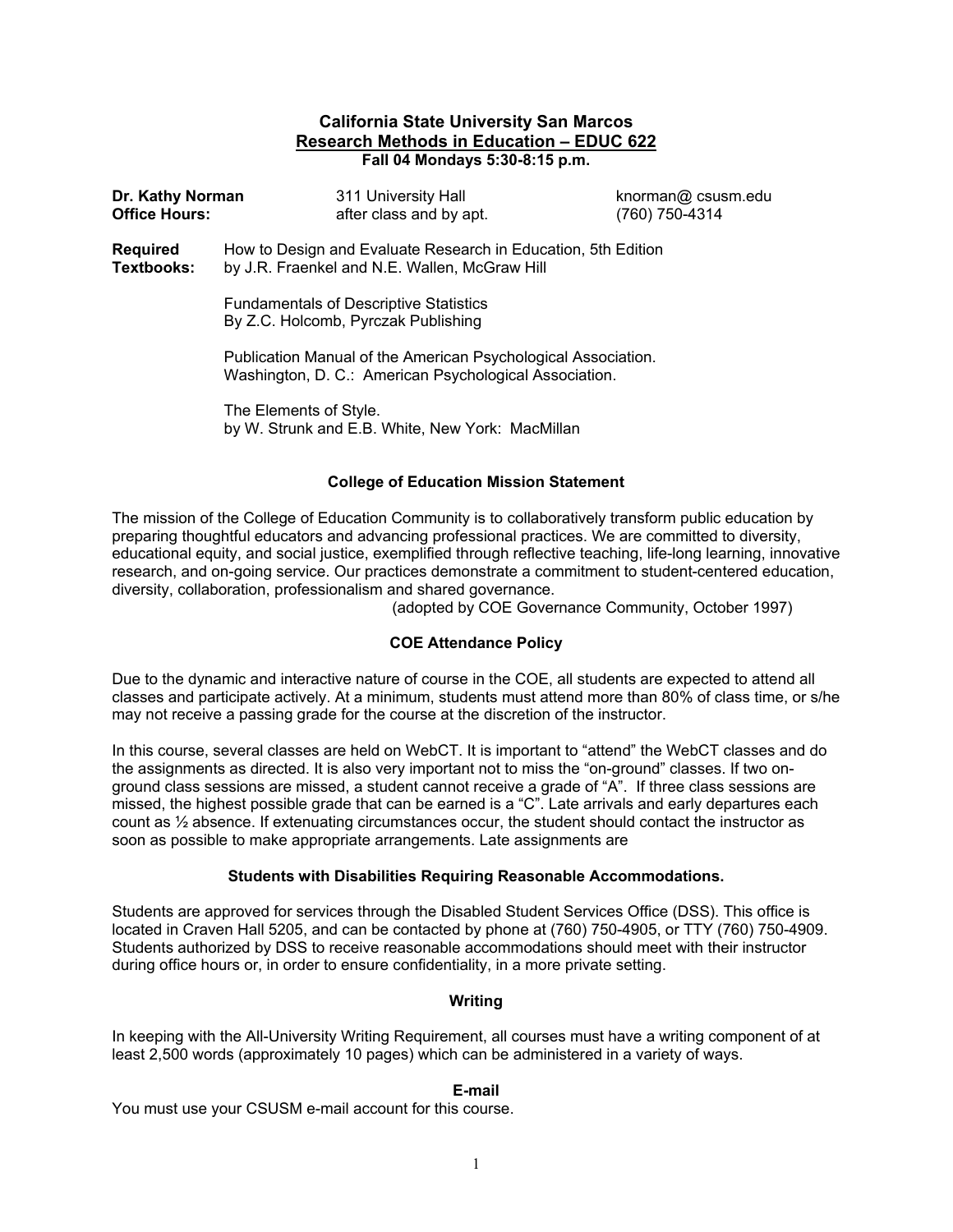#### **California State University San Marcos Research Methods in Education – EDUC 622 Fall 04 Mondays 5:30-8:15 p.m.**

| Dr. Kathy Norman<br><b>Office Hours:</b> |                                                                                                                         | 311 University Hall<br>after class and by apt. | knorman@ csusm.edu<br>(760) 750-4314 |  |  |
|------------------------------------------|-------------------------------------------------------------------------------------------------------------------------|------------------------------------------------|--------------------------------------|--|--|
| <b>Required</b><br>Textbooks:            | How to Design and Evaluate Research in Education, 5th Edition<br>by J.R. Fraenkel and N.E. Wallen, McGraw Hill          |                                                |                                      |  |  |
|                                          | <b>Fundamentals of Descriptive Statistics</b><br>By Z.C. Holcomb, Pyrczak Publishing                                    |                                                |                                      |  |  |
|                                          | Publication Manual of the American Psychological Association.<br>Washington, D. C.: American Psychological Association. |                                                |                                      |  |  |
|                                          | The Elements of Style.                                                                                                  |                                                |                                      |  |  |

by W. Strunk and E.B. White, New York: MacMillan

#### **College of Education Mission Statement**

The mission of the College of Education Community is to collaboratively transform public education by preparing thoughtful educators and advancing professional practices. We are committed to diversity, educational equity, and social justice, exemplified through reflective teaching, life-long learning, innovative research, and on-going service. Our practices demonstrate a commitment to student-centered education, diversity, collaboration, professionalism and shared governance.

(adopted by COE Governance Community, October 1997)

## **COE Attendance Policy**

Due to the dynamic and interactive nature of course in the COE, all students are expected to attend all classes and participate actively. At a minimum, students must attend more than 80% of class time, or s/he may not receive a passing grade for the course at the discretion of the instructor.

In this course, several classes are held on WebCT. It is important to "attend" the WebCT classes and do the assignments as directed. It is also very important not to miss the "on-ground" classes. If two onground class sessions are missed, a student cannot receive a grade of "A". If three class sessions are missed, the highest possible grade that can be earned is a "C". Late arrivals and early departures each count as ½ absence. If extenuating circumstances occur, the student should contact the instructor as soon as possible to make appropriate arrangements. Late assignments are

#### **Students with Disabilities Requiring Reasonable Accommodations.**

Students are approved for services through the Disabled Student Services Office (DSS). This office is located in Craven Hall 5205, and can be contacted by phone at (760) 750-4905, or TTY (760) 750-4909. Students authorized by DSS to receive reasonable accommodations should meet with their instructor during office hours or, in order to ensure confidentiality, in a more private setting.

#### **Writing**

In keeping with the All-University Writing Requirement, all courses must have a writing component of at least 2,500 words (approximately 10 pages) which can be administered in a variety of ways.

## **E-mail**

You must use your CSUSM e-mail account for this course.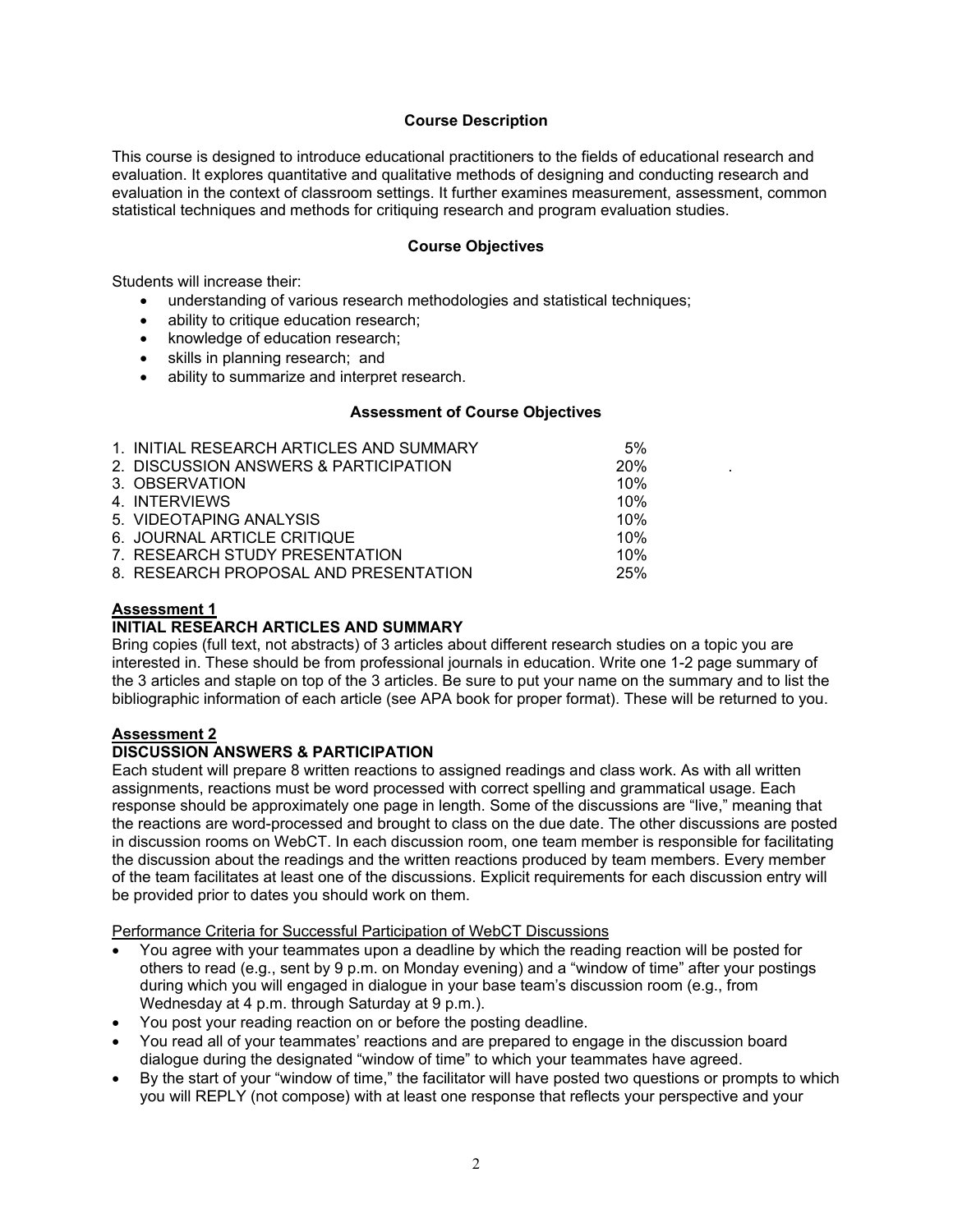## **Course Description**

This course is designed to introduce educational practitioners to the fields of educational research and evaluation. It explores quantitative and qualitative methods of designing and conducting research and evaluation in the context of classroom settings. It further examines measurement, assessment, common statistical techniques and methods for critiquing research and program evaluation studies.

#### **Course Objectives**

Students will increase their:

- understanding of various research methodologies and statistical techniques;
- ability to critique education research:
- knowledge of education research;
- skills in planning research; and
- ability to summarize and interpret research.

#### **Assessment of Course Objectives**

| 1. INITIAL RESEARCH ARTICLES AND SUMMARY | 5%  |  |
|------------------------------------------|-----|--|
| 2. DISCUSSION ANSWERS & PARTICIPATION    | 20% |  |
| 3. OBSERVATION                           | 10% |  |
| 4. INTERVIEWS                            | 10% |  |
| 5. VIDEOTAPING ANALYSIS                  | 10% |  |
| 6. JOURNAL ARTICLE CRITIQUE              | 10% |  |
| 7. RESEARCH STUDY PRESENTATION           | 10% |  |
| 8. RESEARCH PROPOSAL AND PRESENTATION    | 25% |  |

#### **Assessment 1**

## **INITIAL RESEARCH ARTICLES AND SUMMARY**

Bring copies (full text, not abstracts) of 3 articles about different research studies on a topic you are interested in. These should be from professional journals in education. Write one 1-2 page summary of the 3 articles and staple on top of the 3 articles. Be sure to put your name on the summary and to list the bibliographic information of each article (see APA book for proper format). These will be returned to you.

#### **Assessment 2**

## **DISCUSSION ANSWERS & PARTICIPATION**

Each student will prepare 8 written reactions to assigned readings and class work. As with all written assignments, reactions must be word processed with correct spelling and grammatical usage. Each response should be approximately one page in length. Some of the discussions are "live," meaning that the reactions are word-processed and brought to class on the due date. The other discussions are posted in discussion rooms on WebCT. In each discussion room, one team member is responsible for facilitating the discussion about the readings and the written reactions produced by team members. Every member of the team facilitates at least one of the discussions. Explicit requirements for each discussion entry will be provided prior to dates you should work on them.

Performance Criteria for Successful Participation of WebCT Discussions

- You agree with your teammates upon a deadline by which the reading reaction will be posted for others to read (e.g., sent by 9 p.m. on Monday evening) and a "window of time" after your postings during which you will engaged in dialogue in your base team's discussion room (e.g., from Wednesday at 4 p.m. through Saturday at 9 p.m.).
- You post your reading reaction on or before the posting deadline.
- You read all of your teammates' reactions and are prepared to engage in the discussion board dialogue during the designated "window of time" to which your teammates have agreed.
- By the start of your "window of time," the facilitator will have posted two questions or prompts to which you will REPLY (not compose) with at least one response that reflects your perspective and your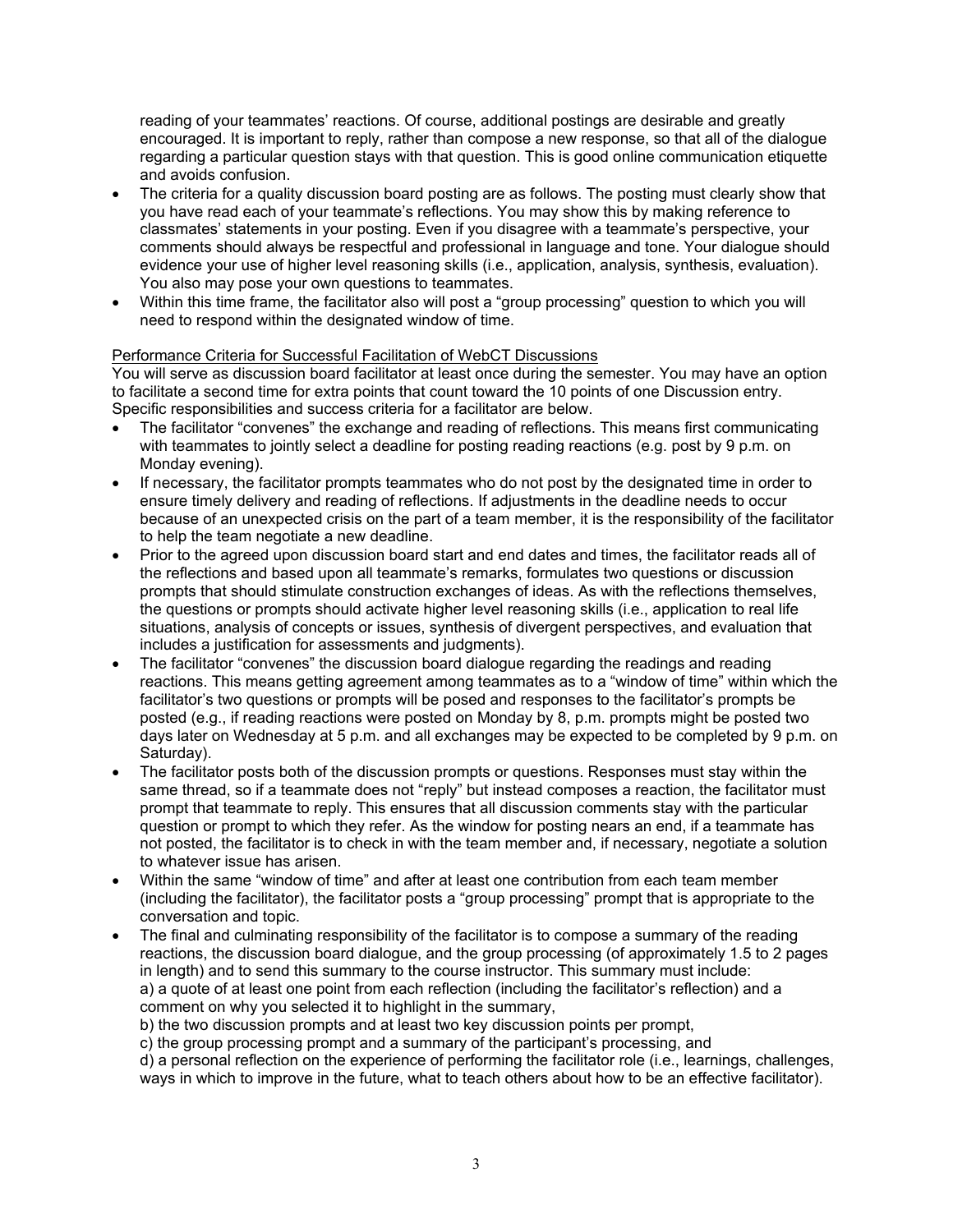reading of your teammates' reactions. Of course, additional postings are desirable and greatly encouraged. It is important to reply, rather than compose a new response, so that all of the dialogue regarding a particular question stays with that question. This is good online communication etiquette and avoids confusion.

- The criteria for a quality discussion board posting are as follows. The posting must clearly show that you have read each of your teammate's reflections. You may show this by making reference to classmates' statements in your posting. Even if you disagree with a teammate's perspective, your comments should always be respectful and professional in language and tone. Your dialogue should evidence your use of higher level reasoning skills (i.e., application, analysis, synthesis, evaluation). You also may pose your own questions to teammates.
- Within this time frame, the facilitator also will post a "group processing" question to which you will need to respond within the designated window of time.

## Performance Criteria for Successful Facilitation of WebCT Discussions

You will serve as discussion board facilitator at least once during the semester. You may have an option to facilitate a second time for extra points that count toward the 10 points of one Discussion entry. Specific responsibilities and success criteria for a facilitator are below.

- The facilitator "convenes" the exchange and reading of reflections. This means first communicating with teammates to jointly select a deadline for posting reading reactions (e.g. post by 9 p.m. on Monday evening).
- If necessary, the facilitator prompts teammates who do not post by the designated time in order to ensure timely delivery and reading of reflections. If adjustments in the deadline needs to occur because of an unexpected crisis on the part of a team member, it is the responsibility of the facilitator to help the team negotiate a new deadline.
- Prior to the agreed upon discussion board start and end dates and times, the facilitator reads all of the reflections and based upon all teammate's remarks, formulates two questions or discussion prompts that should stimulate construction exchanges of ideas. As with the reflections themselves, the questions or prompts should activate higher level reasoning skills (i.e., application to real life situations, analysis of concepts or issues, synthesis of divergent perspectives, and evaluation that includes a justification for assessments and judgments).
- The facilitator "convenes" the discussion board dialogue regarding the readings and reading reactions. This means getting agreement among teammates as to a "window of time" within which the facilitator's two questions or prompts will be posed and responses to the facilitator's prompts be posted (e.g., if reading reactions were posted on Monday by 8, p.m. prompts might be posted two days later on Wednesday at 5 p.m. and all exchanges may be expected to be completed by 9 p.m. on Saturday).
- The facilitator posts both of the discussion prompts or questions. Responses must stay within the same thread, so if a teammate does not "reply" but instead composes a reaction, the facilitator must prompt that teammate to reply. This ensures that all discussion comments stay with the particular question or prompt to which they refer. As the window for posting nears an end, if a teammate has not posted, the facilitator is to check in with the team member and, if necessary, negotiate a solution to whatever issue has arisen.
- Within the same "window of time" and after at least one contribution from each team member (including the facilitator), the facilitator posts a "group processing" prompt that is appropriate to the conversation and topic.
- The final and culminating responsibility of the facilitator is to compose a summary of the reading reactions, the discussion board dialogue, and the group processing (of approximately 1.5 to 2 pages in length) and to send this summary to the course instructor. This summary must include: a) a quote of at least one point from each reflection (including the facilitator's reflection) and a comment on why you selected it to highlight in the summary,

b) the two discussion prompts and at least two key discussion points per prompt,

c) the group processing prompt and a summary of the participant's processing, and

d) a personal reflection on the experience of performing the facilitator role (i.e., learnings, challenges, ways in which to improve in the future, what to teach others about how to be an effective facilitator).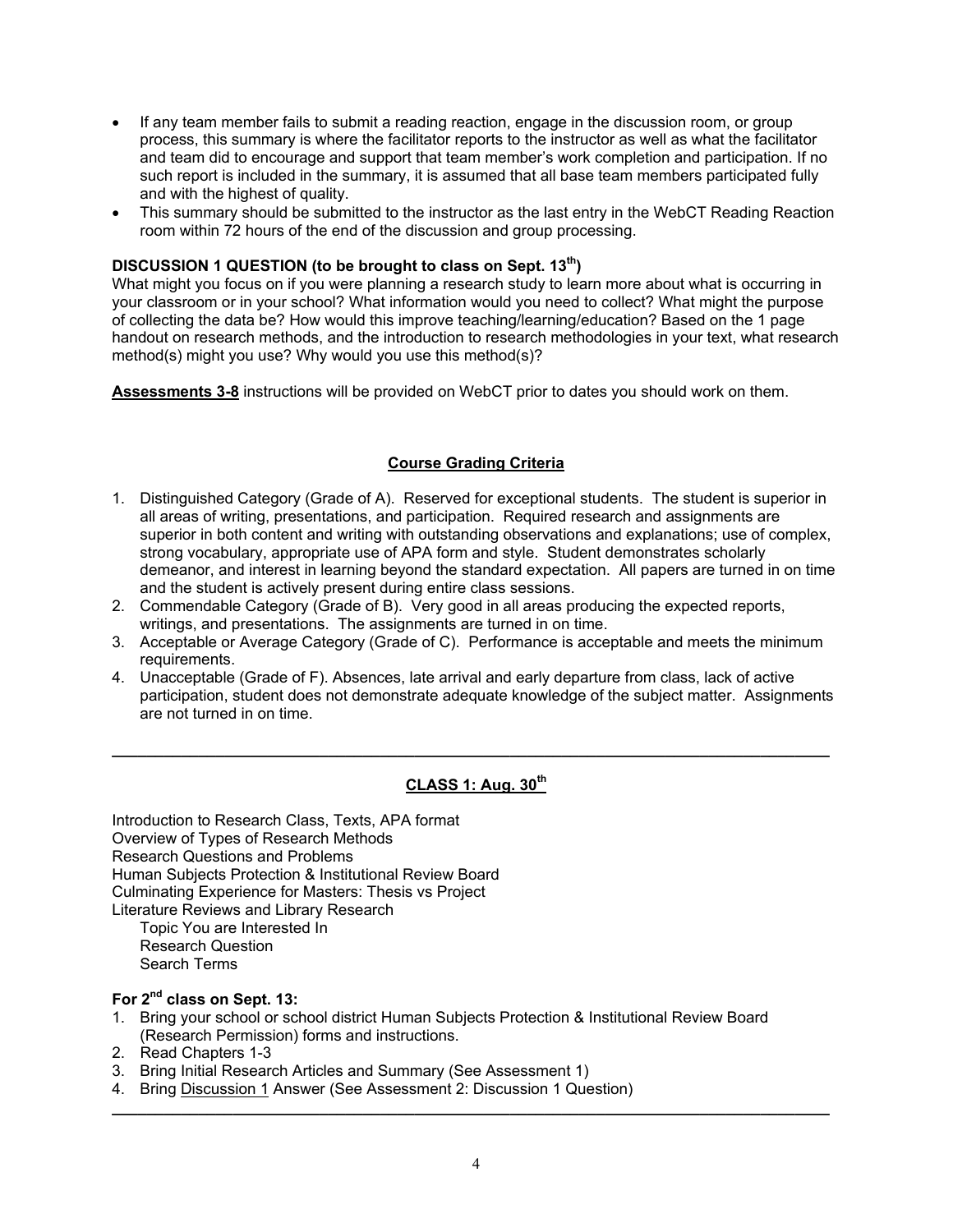- If any team member fails to submit a reading reaction, engage in the discussion room, or group process, this summary is where the facilitator reports to the instructor as well as what the facilitator and team did to encourage and support that team member's work completion and participation. If no such report is included in the summary, it is assumed that all base team members participated fully and with the highest of quality.
- This summary should be submitted to the instructor as the last entry in the WebCT Reading Reaction room within 72 hours of the end of the discussion and group processing.

## **DISCUSSION 1 QUESTION (to be brought to class on Sept. 13th)**

What might you focus on if you were planning a research study to learn more about what is occurring in your classroom or in your school? What information would you need to collect? What might the purpose of collecting the data be? How would this improve teaching/learning/education? Based on the 1 page handout on research methods, and the introduction to research methodologies in your text, what research method(s) might you use? Why would you use this method(s)?

**Assessments 3-8** instructions will be provided on WebCT prior to dates you should work on them.

## **Course Grading Criteria**

- 1. Distinguished Category (Grade of A). Reserved for exceptional students. The student is superior in all areas of writing, presentations, and participation. Required research and assignments are superior in both content and writing with outstanding observations and explanations; use of complex, strong vocabulary, appropriate use of APA form and style. Student demonstrates scholarly demeanor, and interest in learning beyond the standard expectation. All papers are turned in on time and the student is actively present during entire class sessions.
- 2. Commendable Category (Grade of B). Very good in all areas producing the expected reports, writings, and presentations. The assignments are turned in on time.
- 3. Acceptable or Average Category (Grade of C). Performance is acceptable and meets the minimum requirements.
- 4. Unacceptable (Grade of F). Absences, late arrival and early departure from class, lack of active participation, student does not demonstrate adequate knowledge of the subject matter. Assignments are not turned in on time.

**\_\_\_\_\_\_\_\_\_\_\_\_\_\_\_\_\_\_\_\_\_\_\_\_\_\_\_\_\_\_\_\_\_\_\_\_\_\_\_\_\_\_\_\_\_\_\_\_\_\_\_\_\_\_\_\_\_\_\_\_\_\_\_\_\_\_\_\_\_\_\_\_\_\_\_\_\_\_\_\_\_\_\_** 

## **CLASS 1: Aug. 30th**

Introduction to Research Class, Texts, APA format Overview of Types of Research Methods Research Questions and Problems Human Subjects Protection & Institutional Review Board Culminating Experience for Masters: Thesis vs Project Literature Reviews and Library Research Topic You are Interested In Research Question

Search Terms

# **For 2nd class on Sept. 13:**

- 1. Bring your school or school district Human Subjects Protection & Institutional Review Board (Research Permission) forms and instructions.
- 2. Read Chapters 1-3
- 3. Bring Initial Research Articles and Summary (See Assessment 1)
- 4. Bring Discussion 1 Answer (See Assessment 2: Discussion 1 Question)

**\_\_\_\_\_\_\_\_\_\_\_\_\_\_\_\_\_\_\_\_\_\_\_\_\_\_\_\_\_\_\_\_\_\_\_\_\_\_\_\_\_\_\_\_\_\_\_\_\_\_\_\_\_\_\_\_\_\_\_\_\_\_\_\_\_\_\_\_\_\_\_\_\_\_\_\_\_\_\_\_\_\_\_**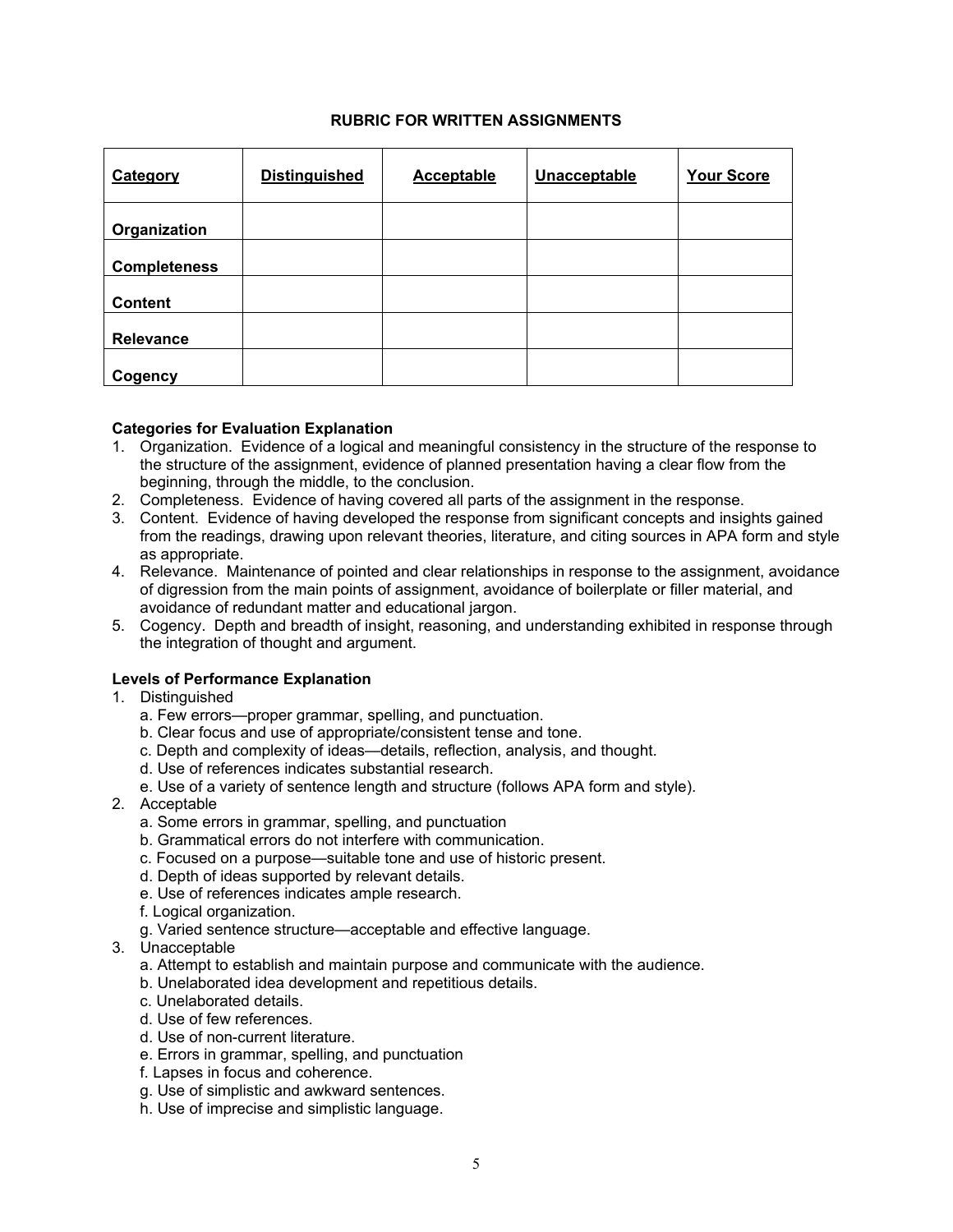## **RUBRIC FOR WRITTEN ASSIGNMENTS**

| Category            | <b>Distinguished</b> | Acceptable | Unacceptable | <b>Your Score</b> |
|---------------------|----------------------|------------|--------------|-------------------|
| Organization        |                      |            |              |                   |
| <b>Completeness</b> |                      |            |              |                   |
| <b>Content</b>      |                      |            |              |                   |
| Relevance           |                      |            |              |                   |
| Cogency             |                      |            |              |                   |

#### **Categories for Evaluation Explanation**

- 1. Organization. Evidence of a logical and meaningful consistency in the structure of the response to the structure of the assignment, evidence of planned presentation having a clear flow from the beginning, through the middle, to the conclusion.
- 2. Completeness. Evidence of having covered all parts of the assignment in the response.
- 3. Content. Evidence of having developed the response from significant concepts and insights gained from the readings, drawing upon relevant theories, literature, and citing sources in APA form and style as appropriate.
- 4. Relevance. Maintenance of pointed and clear relationships in response to the assignment, avoidance of digression from the main points of assignment, avoidance of boilerplate or filler material, and avoidance of redundant matter and educational jargon.
- 5. Cogency. Depth and breadth of insight, reasoning, and understanding exhibited in response through the integration of thought and argument.

#### **Levels of Performance Explanation**

- 1. Distinguished
	- a. Few errors—proper grammar, spelling, and punctuation.
	- b. Clear focus and use of appropriate/consistent tense and tone.
	- c. Depth and complexity of ideas—details, reflection, analysis, and thought.
	- d. Use of references indicates substantial research.
	- e. Use of a variety of sentence length and structure (follows APA form and style).
- 2. Acceptable
	- a. Some errors in grammar, spelling, and punctuation
	- b. Grammatical errors do not interfere with communication.
	- c. Focused on a purpose—suitable tone and use of historic present.
	- d. Depth of ideas supported by relevant details.
	- e. Use of references indicates ample research.
	- f. Logical organization.
	- g. Varied sentence structure—acceptable and effective language.
- 3. Unacceptable
	- a. Attempt to establish and maintain purpose and communicate with the audience.
	- b. Unelaborated idea development and repetitious details.
	- c. Unelaborated details.
	- d. Use of few references.
	- d. Use of non-current literature.
	- e. Errors in grammar, spelling, and punctuation
	- f. Lapses in focus and coherence.
	- g. Use of simplistic and awkward sentences.
	- h. Use of imprecise and simplistic language.